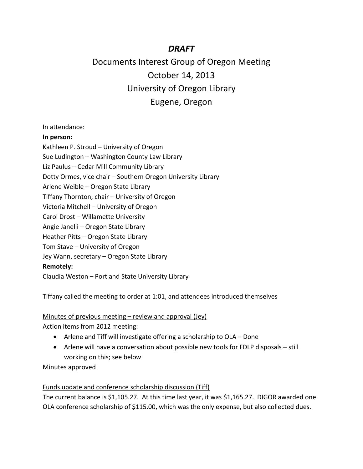# *DRAFT*

# Documents Interest Group of Oregon Meeting October 14, 2013 University of Oregon Library Eugene, Oregon

In attendance:

#### **In person:**

Kathleen P. Stroud – University of Oregon Sue Ludington – Washington County Law Library Liz Paulus – Cedar Mill Community Library Dotty Ormes, vice chair – Southern Oregon University Library Arlene Weible – Oregon State Library Tiffany Thornton, chair – University of Oregon Victoria Mitchell – University of Oregon Carol Drost – Willamette University Angie Janelli – Oregon State Library Heather Pitts – Oregon State Library Tom Stave – University of Oregon Jey Wann, secretary – Oregon State Library **Remotely:** Claudia Weston – Portland State University Library

Tiffany called the meeting to order at 1:01, and attendees introduced themselves

#### Minutes of previous meeting – review and approval (Jey)

Action items from 2012 meeting:

- Arlene and Tiff will investigate offering a scholarship to OLA Done
- Arlene will have a conversation about possible new tools for FDLP disposals still working on this; see below

Minutes approved

## Funds update and conference scholarship discussion (Tiff)

The current balance is \$1,105.27. At this time last year, it was \$1,165.27. DIGOR awarded one OLA conference scholarship of \$115.00, which was the only expense, but also collected dues.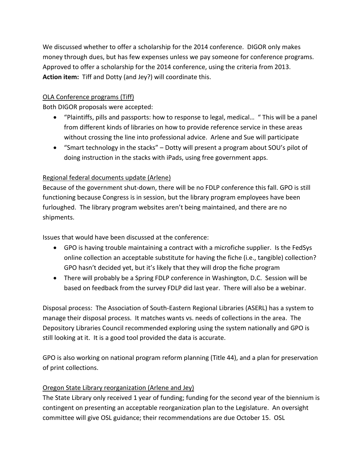We discussed whether to offer a scholarship for the 2014 conference. DIGOR only makes money through dues, but has few expenses unless we pay someone for conference programs. Approved to offer a scholarship for the 2014 conference, using the criteria from 2013. **Action item:** Tiff and Dotty (and Jey?) will coordinate this.

# OLA Conference programs (Tiff)

Both DIGOR proposals were accepted:

- "Plaintiffs, pills and passports: how to response to legal, medical… " This will be a panel from different kinds of libraries on how to provide reference service in these areas without crossing the line into professional advice. Arlene and Sue will participate
- "Smart technology in the stacks" Dotty will present a program about SOU's pilot of doing instruction in the stacks with iPads, using free government apps.

# Regional federal documents update (Arlene)

Because of the government shut-down, there will be no FDLP conference this fall. GPO is still functioning because Congress is in session, but the library program employees have been furloughed. The library program websites aren't being maintained, and there are no shipments.

Issues that would have been discussed at the conference:

- GPO is having trouble maintaining a contract with a microfiche supplier. Is the FedSys online collection an acceptable substitute for having the fiche (i.e., tangible) collection? GPO hasn't decided yet, but it's likely that they will drop the fiche program
- There will probably be a Spring FDLP conference in Washington, D.C. Session will be based on feedback from the survey FDLP did last year. There will also be a webinar.

Disposal process: The Association of South-Eastern Regional Libraries (ASERL) has a system to manage their disposal process. It matches wants vs. needs of collections in the area. The Depository Libraries Council recommended exploring using the system nationally and GPO is still looking at it. It is a good tool provided the data is accurate.

GPO is also working on national program reform planning (Title 44), and a plan for preservation of print collections.

# Oregon State Library reorganization (Arlene and Jey)

The State Library only received 1 year of funding; funding for the second year of the biennium is contingent on presenting an acceptable reorganization plan to the Legislature. An oversight committee will give OSL guidance; their recommendations are due October 15. OSL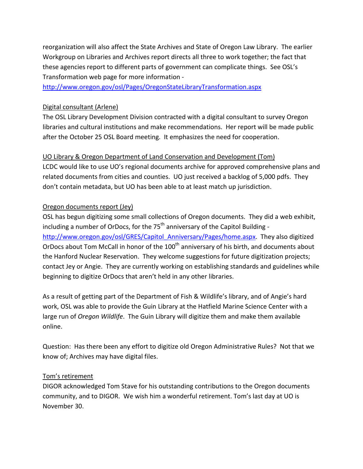reorganization will also affect the State Archives and State of Oregon Law Library. The earlier Workgroup on Libraries and Archives report directs all three to work together; the fact that these agencies report to different parts of government can complicate things. See OSL's Transformation web page for more information -

<http://www.oregon.gov/osl/Pages/OregonStateLibraryTransformation.aspx>

## Digital consultant (Arlene)

The OSL Library Development Division contracted with a digital consultant to survey Oregon libraries and cultural institutions and make recommendations. Her report will be made public after the October 25 OSL Board meeting. It emphasizes the need for cooperation.

## UO Library & Oregon Department of Land Conservation and Development (Tom)

LCDC would like to use UO's regional documents archive for approved comprehensive plans and related documents from cities and counties. UO just received a backlog of 5,000 pdfs. They don't contain metadata, but UO has been able to at least match up jurisdiction.

# Oregon documents report (Jey)

OSL has begun digitizing some small collections of Oregon documents. They did a web exhibit, including a number of OrDocs, for the  $75<sup>th</sup>$  anniversary of the Capitol Building [http://www.oregon.gov/osl/GRES/Capitol\\_Anniversary/Pages/home.aspx.](http://www.oregon.gov/osl/GRES/Capitol_Anniversary/Pages/home.aspx) They also digitized OrDocs about Tom McCall in honor of the 100<sup>th</sup> anniversary of his birth, and documents about the Hanford Nuclear Reservation. They welcome suggestions for future digitization projects; contact Jey or Angie. They are currently working on establishing standards and guidelines while beginning to digitize OrDocs that aren't held in any other libraries.

As a result of getting part of the Department of Fish & Wildlife's library, and of Angie's hard work, OSL was able to provide the Guin Library at the Hatfield Marine Science Center with a large run of *Oregon Wildlife*. The Guin Library will digitize them and make them available online.

Question: Has there been any effort to digitize old Oregon Administrative Rules? Not that we know of; Archives may have digital files.

## Tom's retirement

DIGOR acknowledged Tom Stave for his outstanding contributions to the Oregon documents community, and to DIGOR. We wish him a wonderful retirement. Tom's last day at UO is November 30.